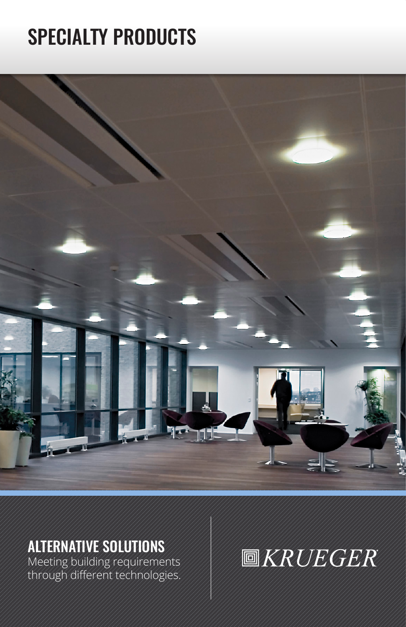## SPECIALTY PRODUCTS



## ALTERNATIVE SOLUTIONS

Meeting building requirements through different technologies.

# **圖KRUEGER**